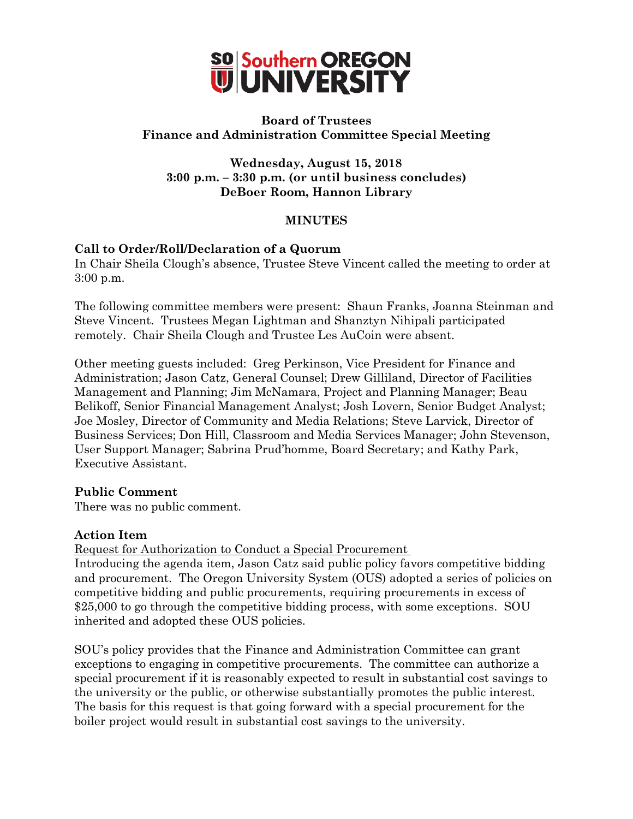

# **Board of Trustees Finance and Administration Committee Special Meeting**

**Wednesday, August 15, 2018 3:00 p.m. – 3:30 p.m. (or until business concludes) DeBoer Room, Hannon Library**

#### **MINUTES**

# **Call to Order/Roll/Declaration of a Quorum**

In Chair Sheila Clough's absence, Trustee Steve Vincent called the meeting to order at 3:00 p.m.

The following committee members were present: Shaun Franks, Joanna Steinman and Steve Vincent. Trustees Megan Lightman and Shanztyn Nihipali participated remotely. Chair Sheila Clough and Trustee Les AuCoin were absent.

Other meeting guests included: Greg Perkinson, Vice President for Finance and Administration; Jason Catz, General Counsel; Drew Gilliland, Director of Facilities Management and Planning; Jim McNamara, Project and Planning Manager; Beau Belikoff, Senior Financial Management Analyst; Josh Lovern, Senior Budget Analyst; Joe Mosley, Director of Community and Media Relations; Steve Larvick, Director of Business Services; Don Hill, Classroom and Media Services Manager; John Stevenson, User Support Manager; Sabrina Prud'homme, Board Secretary; and Kathy Park, Executive Assistant.

# **Public Comment**

There was no public comment.

# **Action Item**

Request for Authorization to Conduct a Special Procurement

Introducing the agenda item, Jason Catz said public policy favors competitive bidding and procurement. The Oregon University System (OUS) adopted a series of policies on competitive bidding and public procurements, requiring procurements in excess of \$25,000 to go through the competitive bidding process, with some exceptions. SOU inherited and adopted these OUS policies.

SOU's policy provides that the Finance and Administration Committee can grant exceptions to engaging in competitive procurements. The committee can authorize a special procurement if it is reasonably expected to result in substantial cost savings to the university or the public, or otherwise substantially promotes the public interest. The basis for this request is that going forward with a special procurement for the boiler project would result in substantial cost savings to the university.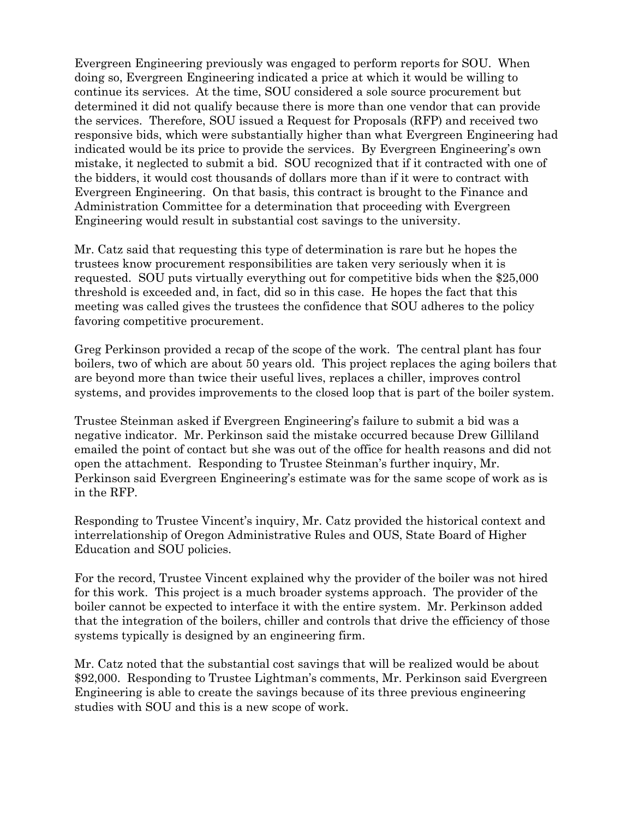Evergreen Engineering previously was engaged to perform reports for SOU. When doing so, Evergreen Engineering indicated a price at which it would be willing to continue its services. At the time, SOU considered a sole source procurement but determined it did not qualify because there is more than one vendor that can provide the services. Therefore, SOU issued a Request for Proposals (RFP) and received two responsive bids, which were substantially higher than what Evergreen Engineering had indicated would be its price to provide the services. By Evergreen Engineering's own mistake, it neglected to submit a bid. SOU recognized that if it contracted with one of the bidders, it would cost thousands of dollars more than if it were to contract with Evergreen Engineering. On that basis, this contract is brought to the Finance and Administration Committee for a determination that proceeding with Evergreen Engineering would result in substantial cost savings to the university.

Mr. Catz said that requesting this type of determination is rare but he hopes the trustees know procurement responsibilities are taken very seriously when it is requested. SOU puts virtually everything out for competitive bids when the \$25,000 threshold is exceeded and, in fact, did so in this case. He hopes the fact that this meeting was called gives the trustees the confidence that SOU adheres to the policy favoring competitive procurement.

Greg Perkinson provided a recap of the scope of the work. The central plant has four boilers, two of which are about 50 years old. This project replaces the aging boilers that are beyond more than twice their useful lives, replaces a chiller, improves control systems, and provides improvements to the closed loop that is part of the boiler system.

Trustee Steinman asked if Evergreen Engineering's failure to submit a bid was a negative indicator. Mr. Perkinson said the mistake occurred because Drew Gilliland emailed the point of contact but she was out of the office for health reasons and did not open the attachment. Responding to Trustee Steinman's further inquiry, Mr. Perkinson said Evergreen Engineering's estimate was for the same scope of work as is in the RFP.

Responding to Trustee Vincent's inquiry, Mr. Catz provided the historical context and interrelationship of Oregon Administrative Rules and OUS, State Board of Higher Education and SOU policies.

For the record, Trustee Vincent explained why the provider of the boiler was not hired for this work. This project is a much broader systems approach. The provider of the boiler cannot be expected to interface it with the entire system. Mr. Perkinson added that the integration of the boilers, chiller and controls that drive the efficiency of those systems typically is designed by an engineering firm.

Mr. Catz noted that the substantial cost savings that will be realized would be about \$92,000. Responding to Trustee Lightman's comments, Mr. Perkinson said Evergreen Engineering is able to create the savings because of its three previous engineering studies with SOU and this is a new scope of work.